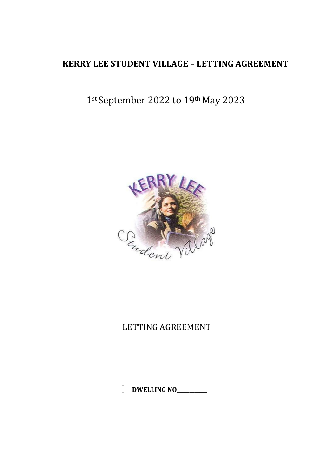## **KERRY LEE STUDENT VILLAGE – LETTING AGREEMENT**

# 1st September 2022 to 19th May 2023



## LETTING AGREEMENT

**DWELLING NO\_\_\_\_\_\_\_\_\_\_\_\_**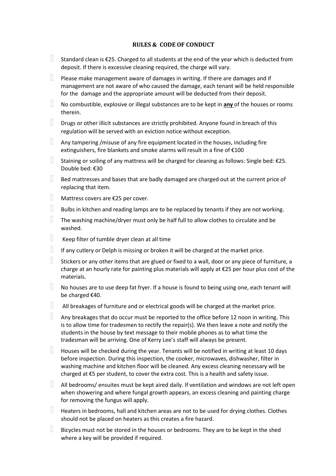#### **RULES & CODE OF CONDUCT**

- $\mathbb T$ Standard clean is €25. Charged to all students at the end of the year which is deducted from deposit. If there is excessive cleaning required, the charge will vary.
- $\mathbb{T}$ Please make management aware of damages in writing. If there are damages and if management are not aware of who caused the damage, each tenant will be held responsible for the damage and the appropriate amount will be deducted from their deposit.
- $\mathbb T$ No combustible, explosive or illegal substances are to be kept in **any** of the houses or rooms therein.
- H. Drugs or other illicit substances are strictly prohibited. Anyone found in breach of this regulation will be served with an eviction notice without exception.
- $\mathbb T$ Any tampering /misuse of any fire equipment located in the houses, including fire extinguishers, fire blankets and smoke alarms will result in a fine of €100
- $\mathbb T$ Staining or soiling of any mattress will be charged for cleaning as follows: Single bed: €25. Double bed: €30
- $\mathbb{R}^n$ Bed mattresses and bases that are badly damaged are charged out at the current price of replacing that item.
- $\mathbb T$ Mattress covers are €25 per cover.
- $\mathbb{R}$ Bulbs in kitchen and reading lamps are to be replaced by tenants if they are not working.
- $\mathbb{R}$ The washing machine/dryer must only be half full to allow clothes to circulate and be washed.
- $\mathbb{R}$ Keep filter of tumble dryer clean at all time
- $\mathbb{R}$ If any cutlery or Delph is missing or broken it will be charged at the market price.
- $\mathbb{R}$ Stickers or any other items that are glued or fixed to a wall, door or any piece of furniture, a charge at an hourly rate for painting plus materials will apply at €25 per hour plus cost of the materials.
- $\mathbb T$ No houses are to use deep fat fryer. If a house is found to being using one, each tenant will be charged €40.
- $\mathbb{R}^n$ All breakages of furniture and or electrical goods will be charged at the market price.
- $\mathbb{R}$ Any breakages that do occur must be reported to the office before 12 noon in writing. This is to allow time for tradesmen to rectify the repair(s). We then leave a note and notify the students in the house by text message to their mobile phones as to what time the tradesman will be arriving. One of Kerry Lee's staff will always be present.
- $\mathbb{R}^n$ Houses will be checked during the year. Tenants will be notified in writing at least 10 days before inspection. During this inspection, the cooker, microwaves, dishwasher, filter in washing machine and kitchen floor will be cleaned. Any excess cleaning necessary will be charged at €5 per student, to cover the extra cost. This is a health and safety issue.
- $\Box$  All bedrooms/ ensuites must be kept aired daily. If ventilation and windows are not left open when showering and where fungal growth appears, an excess cleaning and painting charge for removing the fungus will apply.
- W. Heaters in bedrooms, hall and kitchen areas are not to be used for drying clothes. Clothes should not be placed on heaters as this creates a fire hazard.
- $\mathbb{R}^n$ Bicycles must not be stored in the houses or bedrooms. They are to be kept in the shed where a key will be provided if required.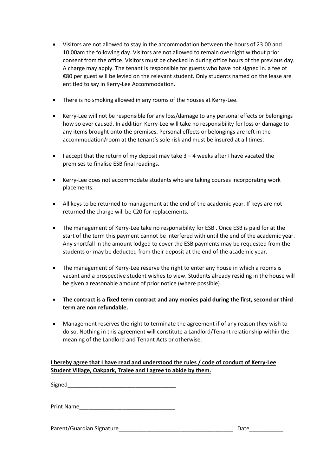- Visitors are not allowed to stay in the accommodation between the hours of 23.00 and 10.00am the following day. Visitors are not allowed to remain overnight without prior consent from the office. Visitors must be checked in during office hours of the previous day. A charge may apply. The tenant is responsible for guests who have not signed in. a fee of €80 per guest will be levied on the relevant student. Only students named on the lease are entitled to say in Kerry-Lee Accommodation.
- There is no smoking allowed in any rooms of the houses at Kerry-Lee.
- Kerry-Lee will not be responsible for any loss/damage to any personal effects or belongings how so ever caused. In addition Kerry-Lee will take no responsibility for loss or damage to any items brought onto the premises. Personal effects or belongings are left in the accommodation/room at the tenant's sole risk and must be insured at all times.
- $\bullet$  I accept that the return of my deposit may take 3 4 weeks after I have vacated the premises to finalise ESB final readings.
- Kerry-Lee does not accommodate students who are taking courses incorporating work placements.
- All keys to be returned to management at the end of the academic year. If keys are not returned the charge will be €20 for replacements.
- The management of Kerry-Lee take no responsibility for ESB . Once ESB is paid for at the start of the term this payment cannot be interfered with until the end of the academic year. Any shortfall in the amount lodged to cover the ESB payments may be requested from the students or may be deducted from their deposit at the end of the academic year.
- The management of Kerry-Lee reserve the right to enter any house in which a rooms is vacant and a prospective student wishes to view. Students already residing in the house will be given a reasonable amount of prior notice (where possible).
- **The contract is a fixed term contract and any monies paid during the first, second or third term are non refundable.**
- Management reserves the right to terminate the agreement if of any reason they wish to do so. Nothing in this agreement will constitute a Landlord/Tenant relationship within the meaning of the Landlord and Tenant Acts or otherwise.

### **I hereby agree that I have read and understood the rules / code of conduct of Kerry-Lee Student Village, Oakpark, Tralee and I agree to abide by them.**

Signed\_\_\_\_\_\_\_\_\_\_\_\_\_\_\_\_\_\_\_\_\_\_\_\_\_\_\_\_\_\_\_\_\_\_\_

Print Name\_\_\_\_\_\_\_\_\_\_\_\_\_\_\_\_\_\_\_\_\_\_\_\_\_\_\_\_\_\_\_

Parent/Guardian Signature\_\_\_\_\_\_\_\_\_\_\_\_\_\_\_\_\_\_\_\_\_\_\_\_\_\_\_\_\_\_\_\_\_\_\_\_\_ Date\_\_\_\_\_\_\_\_\_\_\_